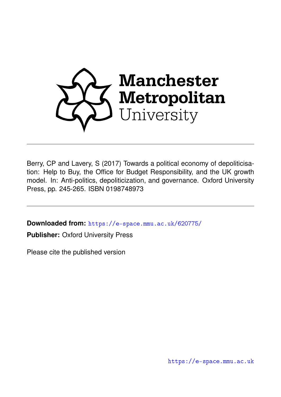

Berry, CP and Lavery, S (2017) Towards a political economy of depoliticisation: Help to Buy, the Office for Budget Responsibility, and the UK growth model. In: Anti-politics, depoliticization, and governance. Oxford University Press, pp. 245-265. ISBN 0198748973

**Downloaded from:** <https://e-space.mmu.ac.uk/620775/>

**Publisher:** Oxford University Press

Please cite the published version

<https://e-space.mmu.ac.uk>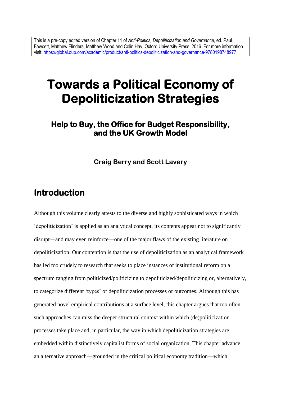This is a pre-copy edited version of Chapter 11 of *Anti-Politics, Depoliticization and Governance*, ed. Paul Fawcett, Matthew Flinders, Matthew Wood and Colin Hay, Oxford University Press, 2016. For more information visit[: https://global.oup.com/academic/product/anti-politics-depoliticization-and-governance-9780198748977](https://global.oup.com/academic/product/anti-politics-depoliticization-and-governance-9780198748977)

# **Towards a Political Economy of Depoliticization Strategies**

### **Help to Buy, the Office for Budget Responsibility, and the UK Growth Model**

**Craig Berry and Scott Lavery**

## **Introduction**

Although this volume clearly attests to the diverse and highly sophisticated ways in which 'depoliticization' is applied as an analytical concept, its contents appear not to significantly disrupt—and may even reinforce—one of the major flaws of the existing literature on depoliticization. Our contention is that the use of depoliticization as an analytical framework has led too crudely to research that seeks to place instances of institutional reform on a spectrum ranging from politicized/politicizing to depoliticized/depoliticizing or, alternatively, to categorize different 'types' of depoliticization processes or outcomes. Although this has generated novel empirical contributions at a surface level, this chapter argues that too often such approaches can miss the deeper structural context within which (de)politicization processes take place and, in particular, the way in which depoliticization strategies are embedded within distinctively capitalist forms of social organization. This chapter advance an alternative approach—grounded in the critical political economy tradition—which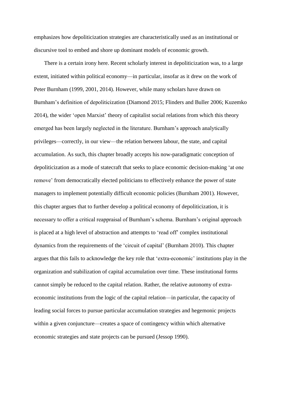emphasizes how depoliticization strategies are characteristically used as an institutional or discursive tool to embed and shore up dominant models of economic growth.

There is a certain irony here. Recent scholarly interest in depoliticization was, to a large extent, initiated within political economy—in particular, insofar as it drew on the work of Peter Burnham [\(1999,](#page-27-0) [2001,](#page-27-1) [2014\)](#page-27-2). However, while many scholars have drawn on Burnham's definition of depoliticization (Diamond [2015;](#page-28-0) Flinders and Buller [2006;](#page-28-1) Kuzemko [2014\)](file:///C:/Users/Sally/AppData/Local/Temp/Temp3_Files_to_Copyeditor_13_February_2017.zip/Files_to_Copyeditor_13_February_2017/Pre-edited%20files/Speaking%23Ref38), the wider 'open Marxist' theory of capitalist social relations from which this theory emerged has been largely neglected in the literature. Burnham's approach analytically privileges—correctly, in our view—the relation between labour, the state, and capital accumulation. As such, this chapter broadly accepts his now-paradigmatic conception of depoliticization as a mode of statecraft that seeks to place economic decision-making 'at one remove' from democratically elected politicians to effectively enhance the power of state managers to implement potentially difficult economic policies (Burnham [2001\)](#page-27-1). However, this chapter argues that to further develop a political economy of depoliticization, it is necessary to offer a critical reappraisal of Burnham's schema. Burnham's original approach is placed at a high level of abstraction and attempts to 'read off' complex institutional dynamics from the requirements of the 'circuit of capital' (Burnham [2010\)](#page-27-3). This chapter argues that this fails to acknowledge the key role that 'extra-economic' institutions play in the organization and stabilization of capital accumulation over time. These institutional forms cannot simply be reduced to the capital relation. Rather, the relative autonomy of extraeconomic institutions from the logic of the capital relation—in particular, the capacity of leading social forces to pursue particular accumulation strategies and hegemonic projects within a given conjuncture—creates a space of contingency within which alternative economic strategies and state projects can be pursued (Jessop [1990\)](#page-29-0).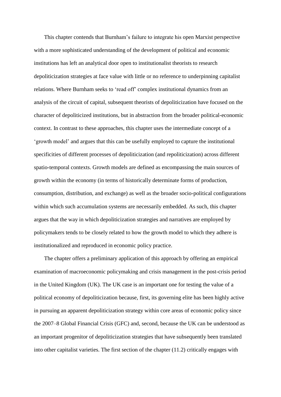This chapter contends that Burnham's failure to integrate his open Marxist perspective with a more sophisticated understanding of the development of political and economic institutions has left an analytical door open to institutionalist theorists to research depoliticization strategies at face value with little or no reference to underpinning capitalist relations. Where Burnham seeks to 'read off' complex institutional dynamics from an analysis of the circuit of capital, subsequent theorists of depoliticization have focused on the character of depoliticized institutions, but in abstraction from the broader political-economic context. In contrast to these approaches, this chapter uses the intermediate concept of a 'growth model' and argues that this can be usefully employed to capture the institutional specificities of different processes of depoliticization (and repoliticization) across different spatio-temporal contexts. Growth models are defined as encompassing the main sources of growth within the economy (in terms of historically determinate forms of production, consumption, distribution, and exchange) as well as the broader socio-political configurations within which such accumulation systems are necessarily embedded. As such, this chapter argues that the way in which depoliticization strategies and narratives are employed by policymakers tends to be closely related to how the growth model to which they adhere is institutionalized and reproduced in economic policy practice.

The chapter offers a preliminary application of this approach by offering an empirical examination of macroeconomic policymaking and crisis management in the post-crisis period in the United Kingdom (UK). The UK case is an important one for testing the value of a political economy of depoliticization because, first, its governing elite has been highly active in pursuing an apparent depoliticization strategy within core areas of economic policy since the 2007–8 Global Financial Crisis (GFC) and, second, because the UK can be understood as an important progenitor of depoliticization strategies that have subsequently been translated into other capitalist varieties. The first section of the chapter (11.2) critically engages with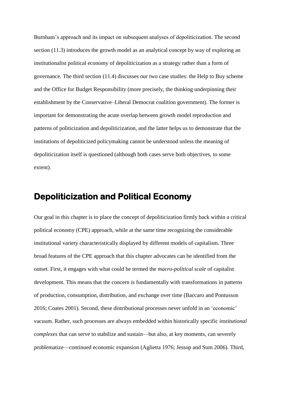Burnham's approach and its impact on subsequent analyses of depoliticization. The second section (11.3) introduces the growth model as an analytical concept by way of exploring an institutionalist political economy of depoliticization as a strategy rather than a form of governance. The third section (11.4) discusses our two case studies: the Help to Buy scheme and the Office for Budget Responsibility (more precisely, the thinking underpinning their establishment by the Conservative–Liberal Democrat coalition government). The former is important for demonstrating the acute overlap between growth model reproduction and patterns of politicization and depoliticization, and the latter helps us to demonstrate that the institutions of depoliticized policymaking cannot be understood unless the meaning of depoliticization itself is questioned (although both cases serve both objectives, to some extent).

# **Depoliticization and Political Economy**

Our goal in this chapter is to place the concept of depoliticization firmly back within a critical political economy (CPE) approach, while at the same time recognizing the considerable institutional variety characteristically displayed by different models of capitalism. Three broad features of the CPE approach that this chapter advocates can be identified from the outset. First, it engages with what could be termed the *macro-political scale* of capitalist development. This means that the concern is fundamentally with transformations in patterns of production, consumption, distribution, and exchange over time (Baccaro and Pontusson [2016;](#page-26-0) Coates [2001\)](#page-28-2). Second, these distributional processes never unfold in an 'economic' vacuum. Rather, such processes are always embedded within historically specific *institutional complexes* that can serve to stabilize and sustain—but also, at key moments, can severely problematize—continued economic expansion (Aglietta [1976;](#page-26-1) Jessop and Sum [2006\)](#page-29-1). Third,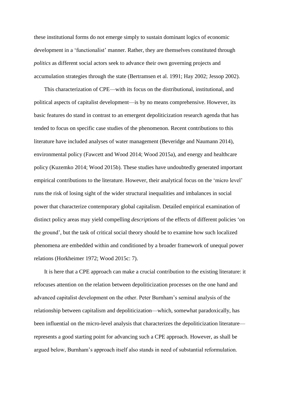these institutional forms do not emerge simply to sustain dominant logics of economic development in a 'functionalist' manner. Rather, they are themselves constituted through *politics* as different social actors seek to advance their own governing projects and accumulation strategies through the state (Bertramsen et al. [1991;](#page-27-4) Hay [2002;](#page-28-3) Jessop [2002\)](#page-29-2).

This characterization of CPE—with its focus on the distributional, institutional, and political aspects of capitalist development—is by no means comprehensive. However, its basic features do stand in contrast to an emergent depoliticization research agenda that has tended to focus on specific case studies of the phenomenon. Recent contributions to this literature have included analyses of water management (Beveridge and Naumann [2014\)](#page-27-5), environmental policy (Fawcett and Wood [2014;](#page-28-4) Wood [2015a\)](#page-31-0), and energy and healthcare policy (Kuzemko [2014;](file:///C:/Users/Sally/AppData/Local/Temp/Temp3_Files_to_Copyeditor_13_February_2017.zip/Files_to_Copyeditor_13_February_2017/Pre-edited%20files/Speaking%23Ref38) Wood [2015b\)](#page-31-1). These studies have undoubtedly generated important empirical contributions to the literature. However, their analytical focus on the 'micro level' runs the risk of losing sight of the wider structural inequalities and imbalances in social power that characterize contemporary global capitalism. Detailed empirical examination of distinct policy areas may yield compelling *descriptions* of the effects of different policies 'on the ground', but the task of critical social theory should be to examine how such localized phenomena are embedded within and conditioned by a broader framework of unequal power relations (Horkheimer [1972;](#page-29-3) Wood [2015c:](#page-31-2) 7).

It is here that a CPE approach can make a crucial contribution to the existing literature: it refocuses attention on the relation between depoliticization processes on the one hand and advanced capitalist development on the other. Peter Burnham's seminal analysis of the relationship between capitalism and depoliticization—which, somewhat paradoxically, has been influential on the micro-level analysis that characterizes the depoliticization literature represents a good starting point for advancing such a CPE approach. However, as shall be argued below, Burnham's approach itself also stands in need of substantial reformulation.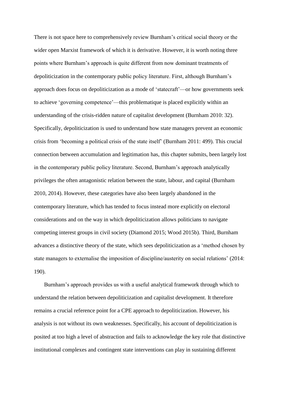There is not space here to comprehensively review Burnham's critical social theory or the wider open Marxist framework of which it is derivative. However, it is worth noting three points where Burnham's approach is quite different from now dominant treatments of depoliticization in the contemporary public policy literature. First, although Burnham's approach does focus on depoliticization as a mode of 'statecraft'—or how governments seek to achieve 'governing competence'—this problematique is placed explicitly within an understanding of the crisis-ridden nature of capitalist development (Burnham [2010:](#page-27-3) 32). Specifically, depoliticization is used to understand how state managers prevent an economic crisis from 'becoming a political crisis of the state itself' (Burnham 2011: 499). This crucial connection between accumulation and legitimation has, this chapter submits, been largely lost in the contemporary public policy literature. Second, Burnham's approach analytically privileges the often antagonistic relation between the state, labour, and capital (Burnham [2010,](#page-27-3) [2014\)](#page-27-2). However, these categories have also been largely abandoned in the contemporary literature, which has tended to focus instead more explicitly on electoral considerations and on the way in which depoliticization allows politicians to navigate competing interest groups in civil society (Diamond [2015;](#page-28-0) Wood [2015b\)](#page-31-1). Third, Burnham advances a distinctive theory of the state, which sees depoliticization as a 'method chosen by state managers to externalise the imposition of discipline/austerity on social relations' (2014: 190).

Burnham's approach provides us with a useful analytical framework through which to understand the relation between depoliticization and capitalist development. It therefore remains a crucial reference point for a CPE approach to depoliticization. However, his analysis is not without its own weaknesses. Specifically, his account of depoliticization is posited at too high a level of abstraction and fails to acknowledge the key role that distinctive institutional complexes and contingent state interventions can play in sustaining different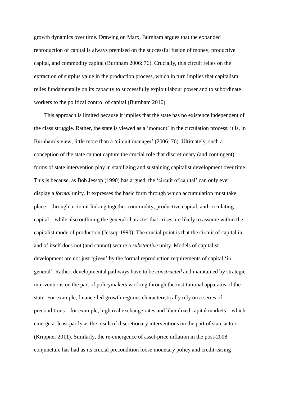growth dynamics over time. Drawing on Marx, Burnham argues that the expanded reproduction of capital is always premised on the successful fusion of money, productive capital, and commodity capital (Burnham [2006:](#page-27-6) 76). Crucially, this circuit relies on the extraction of surplus value in the production process, which in turn implies that capitalism relies fundamentally on its capacity to successfully exploit labour power and to subordinate workers to the political control of capital (Burnham [2010\)](#page-27-3).

This approach is limited because it implies that the state has no existence independent of the class struggle. Rather, the state is viewed as a 'moment' in the circulation process: it is, in Burnham's view, little more than a 'circuit manager' (2006: 76). Ultimately, such a conception of the state cannot capture the crucial role that discretionary (and contingent) forms of state intervention play in stabilizing and sustaining capitalist development over time. This is because, as Bob Jessop [\(1990\)](#page-29-0) has argued, the 'circuit of capital' can only ever display a *formal* unity. It expresses the basic form through which accumulation must take place—through a circuit linking together commodity, productive capital, and circulating capital—while also outlining the general character that crises are likely to assume within the capitalist mode of production (Jessop [1990\)](#page-29-0). The crucial point is that the circuit of capital in and of itself does not (and cannot) secure a *substantive* unity. Models of capitalist development are not just 'given' by the formal reproduction requirements of capital 'in general'. Rather, developmental pathways have to be *constructed* and maintained by strategic interventions on the part of policymakers working through the institutional apparatus of the state. For example, finance-led growth regimes characteristically rely on a series of preconditions—for example, high real exchange rates and liberalized capital markets—which emerge at least partly as the result of discretionary interventions on the part of state actors (Krippner [2011\)](#page-29-4). Similarly, the re-emergence of asset-price inflation in the post-2008 conjuncture has had as its crucial precondition loose monetary policy and credit-easing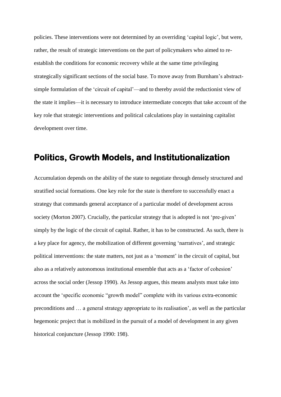policies. These interventions were not determined by an overriding 'capital logic', but were, rather, the result of strategic interventions on the part of policymakers who aimed to reestablish the conditions for economic recovery while at the same time privileging strategically significant sections of the social base. To move away from Burnham's abstractsimple formulation of the 'circuit of capital'—and to thereby avoid the reductionist view of the state it implies—it is necessary to introduce intermediate concepts that take account of the key role that strategic interventions and political calculations play in sustaining capitalist development over time.

## **Politics, Growth Models, and Institutionalization**

Accumulation depends on the ability of the state to negotiate through densely structured and stratified social formations. One key role for the state is therefore to successfully enact a strategy that commands general acceptance of a particular model of development across society (Morton [2007\)](#page-30-0). Crucially, the particular strategy that is adopted is not 'pre-given' simply by the logic of the circuit of capital. Rather, it has to be constructed. As such, there is a key place for agency, the mobilization of different governing 'narratives', and strategic political interventions: the state matters, not just as a 'moment' in the circuit of capital, but also as a relatively autonomous institutional ensemble that acts as a 'factor of cohesion' across the social order (Jessop [1990\)](#page-29-0). As Jessop argues, this means analysts must take into account the 'specific economic "growth model" complete with its various extra-economic preconditions and … a general strategy appropriate to its realisation', as well as the particular hegemonic project that is mobilized in the pursuit of a model of development in any given historical conjuncture (Jessop [1990:](#page-29-0) 198).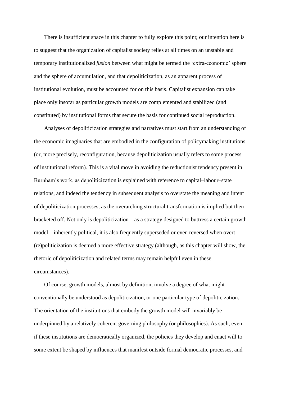There is insufficient space in this chapter to fully explore this point; our intention here is to suggest that the organization of capitalist society relies at all times on an unstable and temporary institutionalized *fusion* between what might be termed the 'extra-economic' sphere and the sphere of accumulation, and that depoliticization, as an apparent process of institutional evolution, must be accounted for on this basis. Capitalist expansion can take place only insofar as particular growth models are complemented and stabilized (and constituted) by institutional forms that secure the basis for continued social reproduction.

Analyses of depoliticization strategies and narratives must start from an understanding of the economic imaginaries that are embodied in the configuration of policymaking institutions (or, more precisely, reconfiguration, because depoliticization usually refers to some process of institutional reform). This is a vital move in avoiding the reductionist tendency present in Burnham's work, as depoliticization is explained with reference to capital–labour–state relations, and indeed the tendency in subsequent analysis to overstate the meaning and intent of depoliticization processes, as the overarching structural transformation is implied but then bracketed off. Not only is depoliticization—as a strategy designed to buttress a certain growth model—inherently political, it is also frequently superseded or even reversed when overt (re)politicization is deemed a more effective strategy (although, as this chapter will show, the rhetoric of depoliticization and related terms may remain helpful even in these circumstances).

Of course, growth models, almost by definition, involve a degree of what might conventionally be understood as depoliticization, or one particular type of depoliticization. The orientation of the institutions that embody the growth model will invariably be underpinned by a relatively coherent governing philosophy (or philosophies). As such, even if these institutions are democratically organized, the policies they develop and enact will to some extent be shaped by influences that manifest outside formal democratic processes, and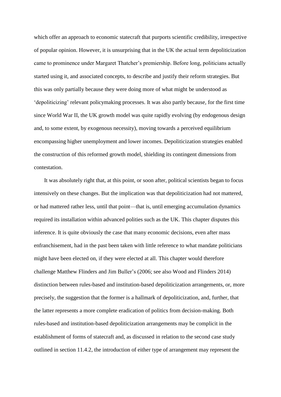which offer an approach to economic statecraft that purports scientific credibility, irrespective of popular opinion. However, it is unsurprising that in the UK the actual term depoliticization came to prominence under Margaret Thatcher's premiership. Before long, politicians actually started using it, and associated concepts, to describe and justify their reform strategies. But this was only partially because they were doing more of what might be understood as 'depoliticizing' relevant policymaking processes. It was also partly because, for the first time since World War II, the UK growth model was quite rapidly evolving (by endogenous design and, to some extent, by exogenous necessity), moving towards a perceived equilibrium encompassing higher unemployment and lower incomes. Depoliticization strategies enabled the construction of this reformed growth model, shielding its contingent dimensions from contestation.

It was absolutely right that, at this point, or soon after, political scientists began to focus intensively on these changes. But the implication was that depoliticization had not mattered, or had mattered rather less, until that point—that is, until emerging accumulation dynamics required its installation within advanced polities such as the UK. This chapter disputes this inference. It is quite obviously the case that many economic decisions, even after mass enfranchisement, had in the past been taken with little reference to what mandate politicians might have been elected on, if they were elected at all. This chapter would therefore challenge Matthew Flinders and Jim Buller's [\(2006;](#page-28-1) see also Wood and Flinders [2014\)](#page-31-3) distinction between rules-based and institution-based depoliticization arrangements, or, more precisely, the suggestion that the former is a hallmark of depoliticization, and, further, that the latter represents a more complete eradication of politics from decision-making. Both rules-based and institution-based depoliticization arrangements may be complicit in the establishment of forms of statecraft and, as discussed in relation to the second case study outlined in section 11.4.2, the introduction of either type of arrangement may represent the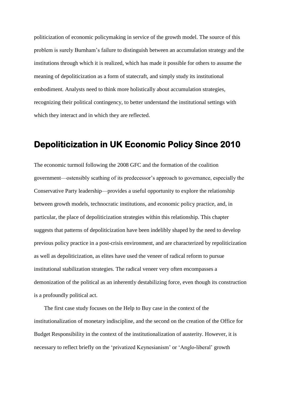politicization of economic policymaking in service of the growth model. The source of this problem is surely Burnham's failure to distinguish between an accumulation strategy and the institutions through which it is realized, which has made it possible for others to assume the meaning of depoliticization as a form of statecraft, and simply study its institutional embodiment. Analysts need to think more holistically about accumulation strategies, recognizing their political contingency, to better understand the institutional settings with which they interact and in which they are reflected.

## **Depoliticization in UK Economic Policy Since 2010**

The economic turmoil following the 2008 GFC and the formation of the coalition government—ostensibly scathing of its predecessor's approach to governance, especially the Conservative Party leadership—provides a useful opportunity to explore the relationship between growth models, technocratic institutions, and economic policy practice, and, in particular, the place of depoliticization strategies within this relationship. This chapter suggests that patterns of depoliticization have been indelibly shaped by the need to develop previous policy practice in a post-crisis environment, and are characterized by repoliticization as well as depoliticization, as elites have used the veneer of radical reform to pursue institutional stabilization strategies. The radical veneer very often encompasses a demonization of the political as an inherently destabilizing force, even though its construction is a profoundly political act.

The first case study focuses on the Help to Buy case in the context of the institutionalization of monetary indiscipline, and the second on the creation of the Office for Budget Responsibility in the context of the institutionalization of austerity. However, it is necessary to reflect briefly on the 'privatized Keynesianism' or 'Anglo-liberal' growth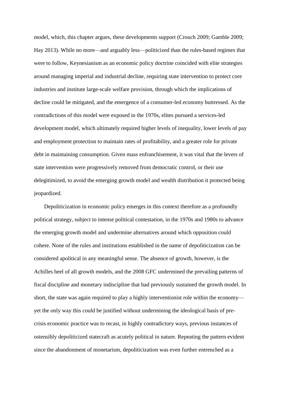model, which, this chapter argues, these developments support (Crouch [2009;](#page-28-5) Gamble [2009;](#page-28-6) Hay [2013\)](#page-28-7). While no more—and arguably less—politicized than the rules-based regimes that were to follow, Keynesianism as an economic policy doctrine coincided with elite strategies around managing imperial and industrial decline, requiring state intervention to protect core industries and institute large-scale welfare provision, through which the implications of decline could be mitigated, and the emergence of a consumer-led economy buttressed. As the contradictions of this model were exposed in the 1970s, elites pursued a services-led development model, which ultimately required higher levels of inequality, lower levels of pay and employment protection to maintain rates of profitability, and a greater role for private debt in maintaining consumption. Given mass enfranchisement, it was vital that the levers of state intervention were progressively removed from democratic control, or their use delegitimized, to avoid the emerging growth model and wealth distribution it protected being jeopardized.

Depoliticization in economic policy emerges in this context therefore as a profoundly political strategy, subject to intense political contestation, in the 1970s and 1980s to advance the emerging growth model and undermine alternatives around which opposition could cohere. None of the rules and institutions established in the name of depoliticization can be considered apolitical in any meaningful sense. The absence of growth, however, is the Achilles heel of all growth models, and the 2008 GFC undermined the prevailing patterns of fiscal discipline and monetary indiscipline that had previously sustained the growth model. In short, the state was again required to play a highly interventionist role within the economy yet the only way this could be justified without undermining the ideological basis of precrisis economic practice was to recast, in highly contradictory ways, previous instances of ostensibly depoliticized statecraft as acutely political in nature. Repeating the pattern evident since the abandonment of monetarism, depoliticization was even further entrenched as a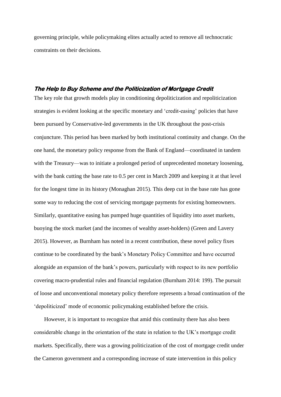governing principle, while policymaking elites actually acted to remove all technocratic constraints on their decisions.

#### **The Help to Buy Scheme and the Politicization of Mortgage Credit**

The key role that growth models play in conditioning depoliticization and repoliticization strategies is evident looking at the specific monetary and 'credit-easing' policies that have been pursued by Conservative-led governments in the UK throughout the post-crisis conjuncture. This period has been marked by both institutional continuity and change. On the one hand, the monetary policy response from the Bank of England—coordinated in tandem with the Treasury—was to initiate a prolonged period of unprecedented monetary loosening, with the bank cutting the base rate to 0.5 per cent in March 2009 and keeping it at that level for the longest time in its history (Monaghan [2015\)](#page-29-5). This deep cut in the base rate has gone some way to reducing the cost of servicing mortgage payments for existing homeowners. Similarly, quantitative easing has pumped huge quantities of liquidity into asset markets, buoying the stock market (and the incomes of wealthy asset-holders) (Green and Lavery [2015\)](#page-28-8). However, as Burnham has noted in a recent contribution, these novel policy fixes continue to be coordinated by the bank's Monetary Policy Committee and have occurred alongside an expansion of the bank's powers, particularly with respect to its new portfolio covering macro-prudential rules and financial regulation (Burnham [2014:](#page-27-2) 199). The pursuit of loose and unconventional monetary policy therefore represents a broad continuation of the 'depoliticized' mode of economic policymaking established before the crisis.

However, it is important to recognize that amid this continuity there has also been considerable change in the orientation of the state in relation to the UK's mortgage credit markets. Specifically, there was a growing politicization of the cost of mortgage credit under the Cameron government and a corresponding increase of state intervention in this policy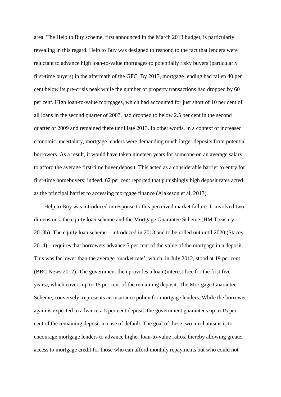area. The Help to Buy scheme, first announced in the March 2013 budget, is particularly revealing in this regard. Help to Buy was designed to respond to the fact that lenders were reluctant to advance high loan-to-value mortgages to potentially risky buyers (particularly first-time buyers) in the aftermath of the GFC. By 2013, mortgage lending had fallen 40 per cent below its pre-crisis peak while the number of property transactions had dropped by 60 per cent. High loan-to-value mortgages, which had accounted for just short of 10 per cent of all loans in the second quarter of 2007, had dropped to below 2.5 per cent in the second quarter of 2009 and remained there until late 2013. In other words, in a context of increased economic uncertainty, mortgage lenders were demanding much larger deposits from potential borrowers. As a result, it would have taken nineteen years for someone on an average salary to afford the average first-time buyer deposit. This acted as a considerable barrier to entry for first-time homebuyers; indeed, 62 per cent reported that punishingly high deposit rates acted as the principal barrier to accessing mortgage finance (Alakeson et al. [2013\)](#page-26-2).

Help to Buy was introduced in response to this perceived market failure. It involved two dimensions: the equity loan scheme and the Mortgage Guarantee Scheme (HM Treasury [2013b\)](#page-29-6). The equity loan scheme—introduced in 2013 and to be rolled out until 2020 (Stacey [2014\)](#page-30-1)—requires that borrowers advance 5 per cent of the value of the mortgage in a deposit. This was far lower than the average 'market rate', which, in July 2012, stood at 19 per cent (BBC News [2012\)](#page-26-3). The government then provides a loan (interest free for the first five years), which covers up to 15 per cent of the remaining deposit. The Mortgage Guarantee Scheme, conversely, represents an insurance policy for mortgage lenders. While the borrower again is expected to advance a 5 per cent deposit, the government guarantees up to 15 per cent of the remaining deposit in case of default. The goal of these two mechanisms is to encourage mortgage lenders to advance higher loan-to-value ratios, thereby allowing greater access to mortgage credit for those who can afford monthly repayments but who could not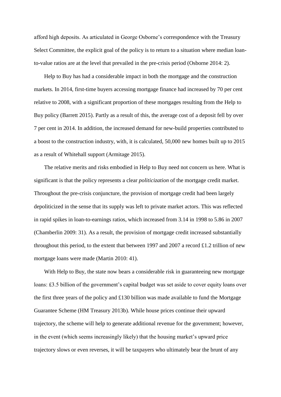afford high deposits. As articulated in George Osborne's correspondence with the Treasury Select Committee, the explicit goal of the policy is to return to a situation where median loanto-value ratios are at the level that prevailed in the pre-crisis period (Osborne [2014:](#page-30-2) 2).

Help to Buy has had a considerable impact in both the mortgage and the construction markets. In 2014, first-time buyers accessing mortgage finance had increased by 70 per cent relative to 2008, with a significant proportion of these mortgages resulting from the Help to Buy policy (Barrett [2015\)](#page-26-4). Partly as a result of this, the average cost of a deposit fell by over 7 per cent in 2014. In addition, the increased demand for new-build properties contributed to a boost to the construction industry, with, it is calculated, 50,000 new homes built up to 2015 as a result of Whitehall support (Armitage [2015\)](#page-26-5).

The relative merits and risks embodied in Help to Buy need not concern us here. What is significant is that the policy represents a clear *politicization* of the mortgage credit market. Throughout the pre-crisis conjuncture, the provision of mortgage credit had been largely depoliticized in the sense that its supply was left to private market actors. This was reflected in rapid spikes in loan-to-earnings ratios, which increased from 3.14 in 1998 to 5.86 in 2007 (Chamberlin [2009:](#page-27-7) 31). As a result, the provision of mortgage credit increased substantially throughout this period, to the extent that between 1997 and 2007 a record £1.2 trillion of new mortgage loans were made (Martin [2010:](#page-29-7) 41).

With Help to Buy, the state now bears a considerable risk in guaranteeing new mortgage loans: £3.5 billion of the government's capital budget was set aside to cover equity loans over the first three years of the policy and £130 billion was made available to fund the Mortgage Guarantee Scheme (HM Treasury [2013b\)](#page-29-6). While house prices continue their upward trajectory, the scheme will help to generate additional revenue for the government; however, in the event (which seems increasingly likely) that the housing market's upward price trajectory slows or even reverses, it will be taxpayers who ultimately bear the brunt of any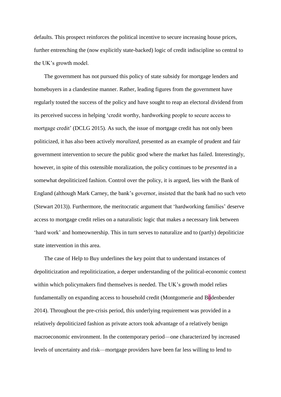defaults. This prospect reinforces the political incentive to secure increasing house prices, further entrenching the (now explicitly state-backed) logic of credit indiscipline so central to the UK's growth model.

The government has not pursued this policy of state subsidy for mortgage lenders and homebuyers in a clandestine manner. Rather, leading figures from the government have regularly touted the success of the policy and have sought to reap an electoral dividend from its perceived success in helping 'credit worthy, hardworking people to secure access to mortgage credit' (DCLG [2015\)](#page-28-9). As such, the issue of mortgage credit has not only been politicized, it has also been actively *moralized*, presented as an example of prudent and fair government intervention to secure the public good where the market has failed. Interestingly, however, in spite of this ostensible moralization, the policy continues to be *presented* in a somewhat depoliticized fashion. Control over the policy, it is argued, lies with the Bank of England (although Mark Carney, the bank's governor, insisted that the bank had no such veto (Stewart [2013\)](#page-30-3)). Furthermore, the meritocratic argument that 'hardworking families' deserve access to mortgage credit relies on a naturalistic logic that makes a necessary link between 'hard work' and homeownership. This in turn serves to naturalize and to (partly) depoliticize state intervention in this area.

The case of Help to Buy underlines the key point that to understand instances of depoliticization and repoliticization, a deeper understanding of the political-economic context within which policymakers find themselves is needed. The UK's growth model relies fundamentally on expanding access to household credit (Montgomerie and Büdenbender [2014\)](#page-30-4). Throughout the pre-crisis period, this underlying requirement was provided in a relatively depoliticized fashion as private actors took advantage of a relatively benign macroeconomic environment. In the contemporary period—one characterized by increased levels of uncertainty and risk—mortgage providers have been far less willing to lend to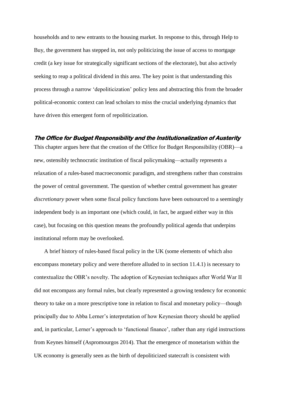households and to new entrants to the housing market. In response to this, through Help to Buy, the government has stepped in, not only politicizing the issue of access to mortgage credit (a key issue for strategically significant sections of the electorate), but also actively seeking to reap a political dividend in this area. The key point is that understanding this process through a narrow 'depoliticization' policy lens and abstracting this from the broader political-economic context can lead scholars to miss the crucial underlying dynamics that have driven this emergent form of repoliticization.

#### **The Office for Budget Responsibility and the Institutionalization of Austerity**

This chapter argues here that the creation of the Office for Budget Responsibility (OBR)—a new, ostensibly technocratic institution of fiscal policymaking—actually represents a relaxation of a rules-based macroeconomic paradigm, and strengthens rather than constrains the power of central government. The question of whether central government has greater *discretionary* power when some fiscal policy functions have been outsourced to a seemingly independent body is an important one (which could, in fact, be argued either way in this case), but focusing on this question means the profoundly political agenda that underpins institutional reform may be overlooked.

A brief history of rules-based fiscal policy in the UK (some elements of which also encompass monetary policy and were therefore alluded to in section 11.4.1) is necessary to contextualize the OBR's novelty. The adoption of Keynesian techniques after World War II did not encompass any formal rules, but clearly represented a growing tendency for economic theory to take on a more prescriptive tone in relation to fiscal and monetary policy—though principally due to Abba Lerner's interpretation of how Keynesian theory should be applied and, in particular, Lerner's approach to 'functional finance', rather than any rigid instructions from Keynes himself (Aspromourgos [2014\)](#page-26-6). That the emergence of monetarism within the UK economy is generally seen as the birth of depoliticized statecraft is consistent with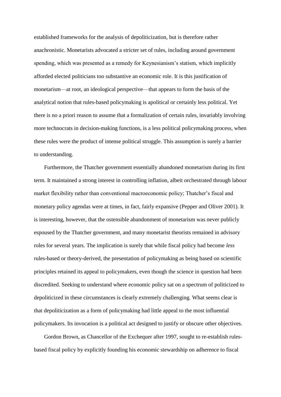established frameworks for the analysis of depoliticization, but is therefore rather anachronistic. Monetarists advocated a stricter set of rules, including around government spending, which was presented as a remedy for Keynesianism's statism, which implicitly afforded elected politicians too substantive an economic role. It is this justification of monetarism—at root, an ideological perspective—that appears to form the basis of the analytical notion that rules-based policymaking is apolitical or certainly less political. Yet there is no a priori reason to assume that a formalization of certain rules, invariably involving more technocrats in decision-making functions, is a less political policymaking process, when these rules were the product of intense political struggle. This assumption is surely a barrier to understanding.

Furthermore, the Thatcher government essentially abandoned monetarism during its first term. It maintained a strong interest in controlling inflation, albeit orchestrated through labour market flexibility rather than conventional macroeconomic policy; Thatcher's fiscal and monetary policy agendas were at times, in fact, fairly expansive (Pepper and Oliver [2001\)](#page-30-5). It is interesting, however, that the ostensible abandonment of monetarism was never publicly espoused by the Thatcher government, and many monetarist theorists remained in advisory roles for several years. The implication is surely that while fiscal policy had become *less* rules-based or theory-derived, the presentation of policymaking as being based on scientific principles retained its appeal to policymakers, even though the science in question had been discredited. Seeking to understand where economic policy sat on a spectrum of politicized to depoliticized in these circumstances is clearly extremely challenging. What seems clear is that depoliticization as a form of policymaking had little appeal to the most influential policymakers. Its invocation is a political act designed to justify or obscure other objectives.

Gordon Brown, as Chancellor of the Exchequer after 1997, sought to re-establish rulesbased fiscal policy by explicitly founding his economic stewardship on adherence to fiscal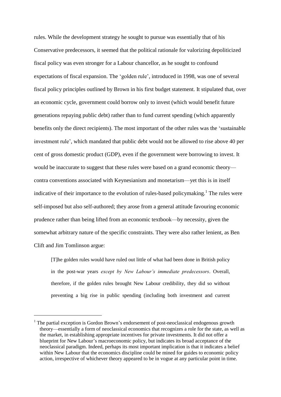rules. While the development strategy he sought to pursue was essentially that of his Conservative predecessors, it seemed that the political rationale for valorizing depoliticized fiscal policy was even stronger for a Labour chancellor, as he sought to confound expectations of fiscal expansion. The 'golden rule', introduced in 1998, was one of several fiscal policy principles outlined by Brown in his first budget statement. It stipulated that, over an economic cycle, government could borrow only to invest (which would benefit future generations repaying public debt) rather than to fund current spending (which apparently benefits only the direct recipients). The most important of the other rules was the 'sustainable investment rule', which mandated that public debt would not be allowed to rise above 40 per cent of gross domestic product (GDP), even if the government were borrowing to invest. It would be inaccurate to suggest that these rules were based on a grand economic theory contra conventions associated with Keynesianism and monetarism—yet this is in itself indicative of their importance to the evolution of rules-based policymaking.<sup>1</sup> The rules were self-imposed but also self-authored; they arose from a general attitude favouring economic prudence rather than being lifted from an economic textbook—by necessity, given the somewhat arbitrary nature of the specific constraints. They were also rather lenient, as Ben Clift and Jim Tomlinson argue:

[T]he golden rules would have ruled out little of what had been done in British policy in the post-war years *except by New Labour's immediate predecessors*. Overall, therefore, if the golden rules brought New Labour credibility, they did so without preventing a big rise in public spending (including both investment and current

1

 $1$ . The partial exception is Gordon Brown's endorsement of post-neoclassical endogenous growth theory—essentially a form of neoclassical economics that recognizes a role for the state, as well as the market, in establishing appropriate incentives for private investments. It did not offer a blueprint for New Labour's macroeconomic policy, but indicates its broad acceptance of the neoclassical paradigm. Indeed, perhaps its most important implication is that it indicates a belief within New Labour that the economics discipline could be mined for guides to economic policy action, irrespective of whichever theory appeared to be in vogue at any particular point in time.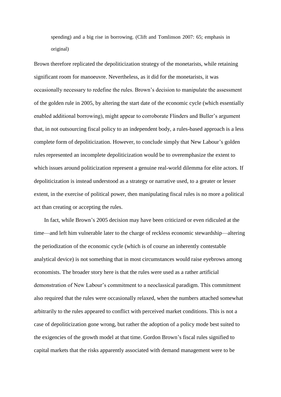spending) and a big rise in borrowing. (Clift and Tomlinson 2007: 65; emphasis in original)

Brown therefore replicated the depoliticization strategy of the monetarists, while retaining significant room for manoeuvre. Nevertheless, as it did for the monetarists, it was occasionally necessary to redefine the rules. Brown's decision to manipulate the assessment of the golden rule in 2005, by altering the start date of the economic cycle (which essentially enabled additional borrowing), might appear to corroborate Flinders and Buller's argument that, in not outsourcing fiscal policy to an independent body, a rules-based approach is a less complete form of depoliticization. However, to conclude simply that New Labour's golden rules represented an incomplete depoliticization would be to overemphasize the extent to which issues around politicization represent a genuine real-world dilemma for elite actors. If depoliticization is instead understood as a strategy or narrative used, to a greater or lesser extent, in the exercise of political power, then manipulating fiscal rules is no more a political act than creating or accepting the rules.

In fact, while Brown's 2005 decision may have been criticized or even ridiculed at the time—and left him vulnerable later to the charge of reckless economic stewardship—altering the periodization of the economic cycle (which is of course an inherently contestable analytical device) is not something that in most circumstances would raise eyebrows among economists. The broader story here is that the rules were used as a rather artificial demonstration of New Labour's commitment to a neoclassical paradigm. This commitment also required that the rules were occasionally relaxed, when the numbers attached somewhat arbitrarily to the rules appeared to conflict with perceived market conditions. This is not a case of depoliticization gone wrong, but rather the adoption of a policy mode best suited to the exigencies of the growth model at that time. Gordon Brown's fiscal rules signified to capital markets that the risks apparently associated with demand management were to be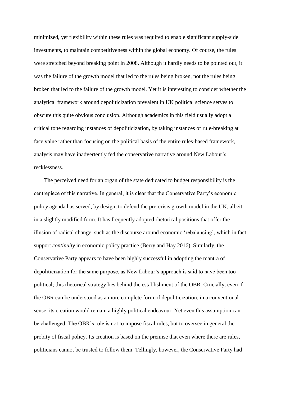minimized, yet flexibility within these rules was required to enable significant supply-side investments, to maintain competitiveness within the global economy. Of course, the rules were stretched beyond breaking point in 2008. Although it hardly needs to be pointed out, it was the failure of the growth model that led to the rules being broken, not the rules being broken that led to the failure of the growth model. Yet it is interesting to consider whether the analytical framework around depoliticization prevalent in UK political science serves to obscure this quite obvious conclusion. Although academics in this field usually adopt a critical tone regarding instances of depoliticization, by taking instances of rule-breaking at face value rather than focusing on the political basis of the entire rules-based framework, analysis may have inadvertently fed the conservative narrative around New Labour's recklessness.

The perceived need for an organ of the state dedicated to budget responsibility is the centrepiece of this narrative. In general, it is clear that the Conservative Party's economic policy agenda has served, by design, to defend the pre-crisis growth model in the UK, albeit in a slightly modified form. It has frequently adopted rhetorical positions that offer the illusion of radical change, such as the discourse around economic 'rebalancing', which in fact support *continuity* in economic policy practice (Berry and Hay [2016\)](file:///C:/Users/Sally/AppData/Local/Temp/Temp3_Files_to_Copyeditor_13_February_2017.zip/Files_to_Copyeditor_13_February_2017/Pre-edited%20files/Rebalancing%23Ref9). Similarly, the Conservative Party appears to have been highly successful in adopting the mantra of depoliticization for the same purpose, as New Labour's approach is said to have been too political; this rhetorical strategy lies behind the establishment of the OBR. Crucially, even if the OBR can be understood as a more complete form of depoliticization, in a conventional sense, its creation would remain a highly political endeavour. Yet even this assumption can be challenged. The OBR's role is not to impose fiscal rules, but to oversee in general the probity of fiscal policy. Its creation is based on the premise that even where there are rules, politicians cannot be trusted to follow them. Tellingly, however, the Conservative Party had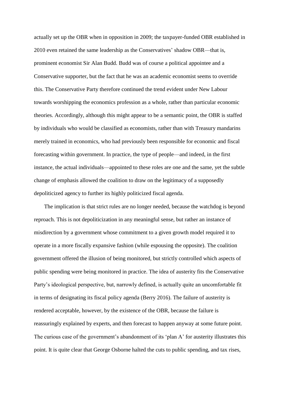actually set up the OBR when in opposition in 2009; the taxpayer-funded OBR established in 2010 even retained the same leadership as the Conservatives' shadow OBR—that is, prominent economist Sir Alan Budd. Budd was of course a political appointee and a Conservative supporter, but the fact that he was an academic economist seems to override this. The Conservative Party therefore continued the trend evident under New Labour towards worshipping the economics profession as a whole, rather than particular economic theories. Accordingly, although this might appear to be a semantic point, the OBR is staffed by individuals who would be classified as economists, rather than with Treasury mandarins merely trained in economics, who had previously been responsible for economic and fiscal forecasting within government. In practice, the type of people—and indeed, in the first instance, the actual individuals—appointed to these roles are one and the same, yet the subtle change of emphasis allowed the coalition to draw on the legitimacy of a supposedly depoliticized agency to further its highly politicized fiscal agenda.

The implication is that strict rules are no longer needed, because the watchdog is beyond reproach. This is not depoliticization in any meaningful sense, but rather an instance of misdirection by a government whose commitment to a given growth model required it to operate in a more fiscally expansive fashion (while espousing the opposite). The coalition government offered the illusion of being monitored, but strictly controlled which aspects of public spending were being monitored in practice. The idea of austerity fits the Conservative Party's ideological perspective, but, narrowly defined, is actually quite an uncomfortable fit in terms of designating its fiscal policy agenda (Berry [2016\)](#page-26-7). The failure of austerity is rendered acceptable, however, by the existence of the OBR, because the failure is reassuringly explained by experts, and then forecast to happen anyway at some future point. The curious case of the government's abandonment of its 'plan A' for austerity illustrates this point. It is quite clear that George Osborne halted the cuts to public spending, and tax rises,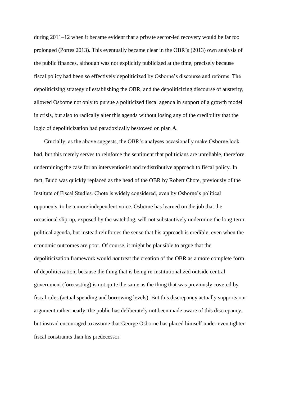during 2011–12 when it became evident that a private sector-led recovery would be far too prolonged (Portes [2013\)](#page-30-6). This eventually became clear in the OBR's [\(2013\)](#page-30-7) own analysis of the public finances, although was not explicitly publicized at the time, precisely because fiscal policy had been so effectively depoliticized by Osborne's discourse and reforms. The depoliticizing strategy of establishing the OBR, and the depoliticizing discourse of austerity, allowed Osborne not only to pursue a politicized fiscal agenda in support of a growth model in crisis, but also to radically alter this agenda without losing any of the credibility that the logic of depoliticization had paradoxically bestowed on plan A.

Crucially, as the above suggests, the OBR's analyses occasionally make Osborne look bad, but this merely serves to reinforce the sentiment that politicians are unreliable, therefore undermining the case for an interventionist and redistributive approach to fiscal policy. In fact, Budd was quickly replaced as the head of the OBR by Robert Chote, previously of the Institute of Fiscal Studies. Chote is widely considered, even by Osborne's political opponents, to be a more independent voice. Osborne has learned on the job that the occasional slip-up, exposed by the watchdog, will not substantively undermine the long-term political agenda, but instead reinforces the sense that his approach is credible, even when the economic outcomes are poor. Of course, it might be plausible to argue that the depoliticization framework would *not* treat the creation of the OBR as a more complete form of depoliticization, because the thing that is being re-institutionalized outside central government (forecasting) is not quite the same as the thing that was previously covered by fiscal rules (actual spending and borrowing levels). But this discrepancy actually supports our argument rather neatly: the public has deliberately not been made aware of this discrepancy, but instead encouraged to assume that George Osborne has placed himself under even tighter fiscal constraints than his predecessor.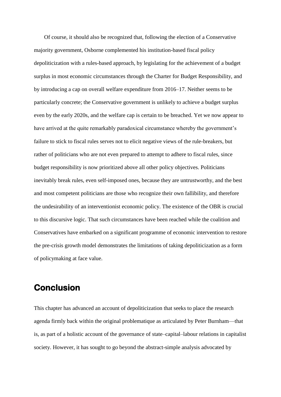Of course, it should also be recognized that, following the election of a Conservative majority government, Osborne complemented his institution-based fiscal policy depoliticization with a rules-based approach, by legislating for the achievement of a budget surplus in most economic circumstances through the Charter for Budget Responsibility, and by introducing a cap on overall welfare expenditure from 2016–17. Neither seems to be particularly concrete; the Conservative government is unlikely to achieve a budget surplus even by the early 2020s, and the welfare cap is certain to be breached. Yet we now appear to have arrived at the quite remarkably paradoxical circumstance whereby the government's failure to stick to fiscal rules serves not to elicit negative views of the rule-breakers, but rather of politicians who are not even prepared to attempt to adhere to fiscal rules, since budget responsibility is now prioritized above all other policy objectives. Politicians inevitably break rules, even self-imposed ones, because they are untrustworthy, and the best and most competent politicians are those who recognize their own fallibility, and therefore the undesirability of an interventionist economic policy. The existence of the OBR is crucial to this discursive logic. That such circumstances have been reached while the coalition and Conservatives have embarked on a significant programme of economic intervention to restore the pre-crisis growth model demonstrates the limitations of taking depoliticization as a form of policymaking at face value.

# **Conclusion**

This chapter has advanced an account of depoliticization that seeks to place the research agenda firmly back within the original problematique as articulated by Peter Burnham—that is, as part of a holistic account of the governance of state–capital–labour relations in capitalist society. However, it has sought to go beyond the abstract-simple analysis advocated by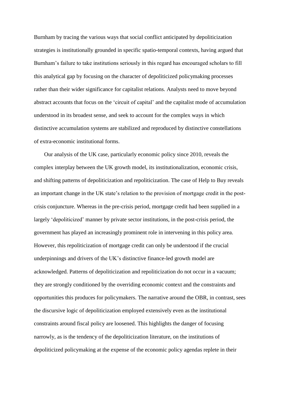Burnham by tracing the various ways that social conflict anticipated by depoliticization strategies is institutionally grounded in specific spatio-temporal contexts, having argued that Burnham's failure to take institutions seriously in this regard has encouraged scholars to fill this analytical gap by focusing on the character of depoliticized policymaking processes rather than their wider significance for capitalist relations. Analysts need to move beyond abstract accounts that focus on the 'circuit of capital' and the capitalist mode of accumulation understood in its broadest sense, and seek to account for the complex ways in which distinctive accumulation systems are stabilized and reproduced by distinctive constellations of extra-economic institutional forms.

Our analysis of the UK case, particularly economic policy since 2010, reveals the complex interplay between the UK growth model, its institutionalization, economic crisis, and shifting patterns of depoliticization and repoliticization. The case of Help to Buy reveals an important change in the UK state's relation to the provision of mortgage credit in the postcrisis conjuncture. Whereas in the pre-crisis period, mortgage credit had been supplied in a largely 'depoliticized' manner by private sector institutions, in the post-crisis period, the government has played an increasingly prominent role in intervening in this policy area. However, this repoliticization of mortgage credit can only be understood if the crucial underpinnings and drivers of the UK's distinctive finance-led growth model are acknowledged. Patterns of depoliticization and repoliticization do not occur in a vacuum; they are strongly conditioned by the overriding economic context and the constraints and opportunities this produces for policymakers. The narrative around the OBR, in contrast, sees the discursive logic of depoliticization employed extensively even as the institutional constraints around fiscal policy are loosened. This highlights the danger of focusing narrowly, as is the tendency of the depoliticization literature, on the institutions of depoliticized policymaking at the expense of the economic policy agendas replete in their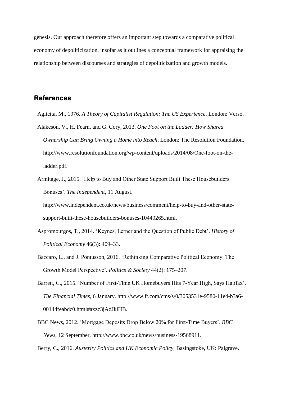genesis. Our approach therefore offers an important step towards a comparative political economy of depoliticization, insofar as it outlines a conceptual framework for appraising the relationship between discourses and strategies of depoliticization and growth models.

#### **References**

- <span id="page-26-1"></span>Aglietta, M., 1976. *A Theory of Capitalist Regulation: The US Experience*, London: Verso.
- <span id="page-26-2"></span>Alakeson, V., H. Fearn, and G. Cory, 2013. *One Foot on the Ladder: How Shared Ownership Can Bring Owning a Home into Reach*, London: The Resolution Foundation. http://www.resolutionfoundation.org/wp-content/uploads/2014/08/One-foot-on-theladder.pdf.
- <span id="page-26-5"></span>Armitage, J., 2015. 'Help to Buy and Other State Support Built These Housebuilders Bonuses'. *The Independent*, 11 August.

http://www.independent.co.uk/news/business/comment/help-to-buy-and-other-statesupport-built-these-housebuilders-bonuses-10449265.html.

- <span id="page-26-6"></span>Aspromourgos, T., 2014. 'Keynes, Lerner and the Question of Public Debt'. *History of Political Economy* 46(3): 409–33.
- <span id="page-26-0"></span>Baccaro, L., and J. Pontusson, 2016. 'Rethinking Comparative Political Economy: The Growth Model Perspective'. *Politics & Society* 44(2): 175–207.
- <span id="page-26-4"></span>Barrett, C., 2015. 'Number of First-Time UK Homebuyers Hits 7-Year High, Says Halifax'. *The Financial Times*, 6 January. http://www.ft.com/cms/s/0/3053531e-9580-11e4-b3a6- 00144feabdc0.html#axzz3jAdJklHB.
- <span id="page-26-3"></span>BBC News, 2012. 'Mortgage Deposits Drop Below 20% for First-Time Buyers'. *BBC News*, 12 September. http://www.bbc.co.uk/news/business-19568911.
- <span id="page-26-7"></span>Berry, C., 2016. *Austerity Politics and UK Economic Policy*, Basingstoke, UK: Palgrave.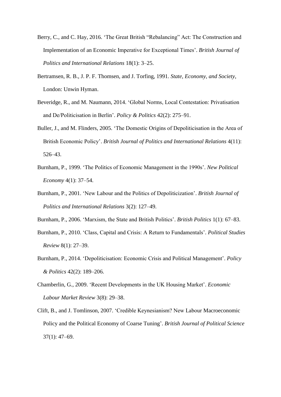- Berry, C., and C. Hay, 2016. 'The Great British "Rebalancing" Act: The Construction and Implementation of an Economic Imperative for Exceptional Times'. *British Journal of Politics and International Relations* 18(1): 3–25.
- <span id="page-27-4"></span>Bertramsen, R. B., J. P. F. Thomsen, and J. Torfing, 1991. *State, Economy, and Society*, London: Unwin Hyman.
- <span id="page-27-5"></span>Beveridge, R., and M. Naumann, 2014. 'Global Norms, Local Contestation: Privatisation and De/Politicisation in Berlin'. *Policy & Politics* 42(2): 275–91.
- Buller, J., and M. Flinders, 2005. 'The Domestic Origins of Depoliticisation in the Area of British Economic Policy'. *British Journal of Politics and International Relations* 4(11): 526–43.
- <span id="page-27-0"></span>Burnham, P., 1999. 'The Politics of Economic Management in the 1990s'. *New Political Economy* 4(1): 37–54.
- <span id="page-27-1"></span>Burnham, P., 2001. 'New Labour and the Politics of Depoliticization'. *British Journal of Politics and International Relations* 3(2): 127–49.
- <span id="page-27-6"></span>Burnham, P., 2006. 'Marxism, the State and British Politics'. *British Politics* 1(1): 67–83.
- <span id="page-27-3"></span>Burnham, P., 2010. 'Class, Capital and Crisis: A Return to Fundamentals'. *Political Studies Review* 8(1): 27–39.
- <span id="page-27-2"></span>Burnham, P., 2014. 'Depoliticisation: Economic Crisis and Political Management'. *Policy & Politics* 42(2): 189–206.
- <span id="page-27-7"></span>Chamberlin, G., 2009. 'Recent Developments in the UK Housing Market'. *Economic Labour Market Review* 3(8): 29–38.
- Clift, B., and J. Tomlinson, 2007. 'Credible Keynesianism? New Labour Macroeconomic Policy and the Political Economy of Coarse Tuning'. *British Journal of Political Science* 37(1): 47–69.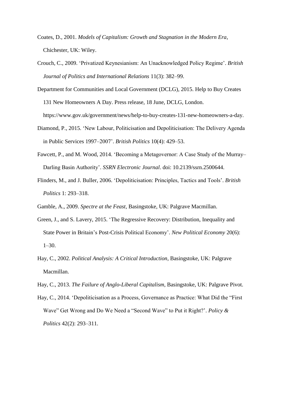- <span id="page-28-2"></span>Coates, D., 2001. *Models of Capitalism: Growth and Stagnation in the Modern Era*, Chichester, UK: Wiley.
- <span id="page-28-5"></span>Crouch, C., 2009. 'Privatized Keynesianism: An Unacknowledged Policy Regime'. *British Journal of Politics and International Relations* 11(3): 382–99.

<span id="page-28-9"></span>Department for Communities and Local Government (DCLG), 2015. Help to Buy Creates 131 New Homeowners A Day. Press release, 18 June, DCLG, London. https://www.gov.uk/government/news/help-to-buy-creates-131-new-homeowners-a-day.

- <span id="page-28-0"></span>Diamond, P., 2015. 'New Labour, Politicisation and Depoliticisation: The Delivery Agenda in Public Services 1997–2007'. *British Politics* 10(4): 429–53.
- <span id="page-28-4"></span>Fawcett, P., and M. Wood, 2014. 'Becoming a Metagovernor: A Case Study of the Murray– Darling Basin Authority'. *SSRN Electronic Journal*. doi: 10.2139/ssrn.2500644.
- <span id="page-28-1"></span>Flinders, M., and J. Buller, 2006. 'Depoliticisation: Principles, Tactics and Tools'. *British Politics* 1: 293–318.
- <span id="page-28-6"></span>Gamble, A., 2009. *Spectre at the Feast*, Basingstoke, UK: Palgrave Macmillan.
- <span id="page-28-8"></span>Green, J., and S. Lavery, 2015. 'The Regressive Recovery: Distribution, Inequality and State Power in Britain's Post-Crisis Political Economy'. *New Political Economy* 20(6): 1–30.
- <span id="page-28-3"></span>Hay, C., 2002. *Political Analysis: A Critical Introduction*, Basingstoke, UK: Palgrave Macmillan.
- <span id="page-28-7"></span>Hay, C., 2013. *The Failure of Anglo-Liberal Capitalism*, Basingstoke, UK: Palgrave Pivot.
- Hay, C., 2014. 'Depoliticisation as a Process, Governance as Practice: What Did the "First Wave" Get Wrong and Do We Need a "Second Wave" to Put it Right?'. *Policy & Politics* 42(2): 293–311.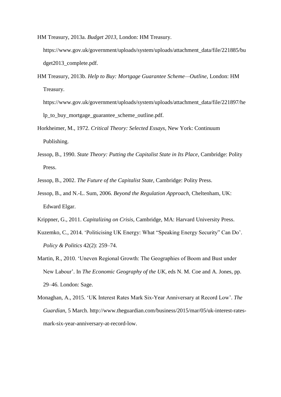HM Treasury, 2013a. *Budget 2013*, London: HM Treasury.

https://www.gov.uk/government/uploads/system/uploads/attachment\_data/file/221885/bu dget2013\_complete.pdf.

- <span id="page-29-6"></span>HM Treasury, 2013b. *Help to Buy: Mortgage Guarantee Scheme—Outline*, London: HM Treasury.
	- https://www.gov.uk/government/uploads/system/uploads/attachment\_data/file/221897/he lp\_to\_buy\_mortgage\_guarantee\_scheme\_outline.pdf.
- <span id="page-29-3"></span>Horkheimer, M., 1972. *Critical Theory: Selected Essays*, New York: Continuum Publishing.
- <span id="page-29-0"></span>Jessop, B., 1990. *State Theory: Putting the Capitalist State in Its Place*, Cambridge: Polity Press.

<span id="page-29-2"></span>Jessop, B., 2002. *The Future of the Capitalist State*, Cambridge: Polity Press.

- <span id="page-29-1"></span>Jessop, B., and N.-L. Sum, 2006. *Beyond the Regulation Approach*, Cheltenham, UK: Edward Elgar.
- <span id="page-29-4"></span>Krippner, G., 2011. *Capitalizing on Crisis*, Cambridge, MA: Harvard University Press.
- Kuzemko, C., 2014. 'Politicising UK Energy: What "Speaking Energy Security" Can Do'. *Policy & Politics* 42(2): 259–74.
- <span id="page-29-7"></span>Martin, R., 2010. 'Uneven Regional Growth: The Geographies of Boom and Bust under New Labour'. In *The Economic Geography of the UK*, eds N. M. Coe and A. Jones, pp. 29–46. London: Sage.
- <span id="page-29-5"></span>Monaghan, A., 2015. 'UK Interest Rates Mark Six-Year Anniversary at Record Low'. *The Guardian*, 5 March. http://www.theguardian.com/business/2015/mar/05/uk-interest-ratesmark-six-year-anniversary-at-record-low.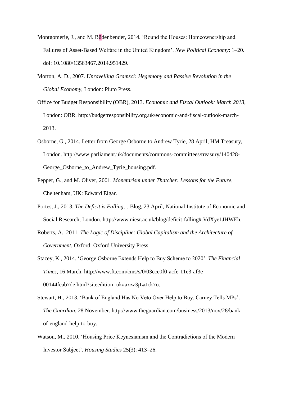- <span id="page-30-4"></span>Montgomerie, J., and M. Büdenbender, 2014. 'Round the Houses: Homeownership and Failures of Asset-Based Welfare in the United Kingdom'. *New Political Economy*: 1–20. doi: 10.1080/13563467.2014.951429.
- <span id="page-30-0"></span>Morton, A. D., 2007. *Unravelling Gramsci: Hegemony and Passive Revolution in the Global Economy*, London: Pluto Press.
- <span id="page-30-7"></span>Office for Budget Responsibility (OBR), 2013. *Economic and Fiscal Outlook: March 2013*, London: OBR. http://budgetresponsibility.org.uk/economic-and-fiscal-outlook-march-2013.
- <span id="page-30-2"></span>Osborne, G., 2014. Letter from George Osborne to Andrew Tyrie, 28 April, HM Treasury, London. http://www.parliament.uk/documents/commons-committees/treasury/140428- George\_Osborne\_to\_Andrew\_Tyrie\_housing.pdf.
- <span id="page-30-5"></span>Pepper, G., and M. Oliver, 2001. *Monetarism under Thatcher: Lessons for the Future*, Cheltenham, UK: Edward Elgar.
- <span id="page-30-6"></span>Portes, J., 2013. *The Deficit is Falling…* Blog, 23 April, National Institute of Economic and Social Research, London. http://www.niesr.ac.uk/blog/deficit-falling#.VdXye1JHWEh.
- Roberts, A., 2011. *The Logic of Discipline: Global Capitalism and the Architecture of Government*, Oxford: Oxford University Press.
- <span id="page-30-1"></span>Stacey, K., 2014. 'George Osborne Extends Help to Buy Scheme to 2020'. *The Financial Times*, 16 March. http://www.ft.com/cms/s/0/03cce0f0-acfe-11e3-af3e-00144feab7de.html?siteedition=uk#axzz3jLaJck7o.
- <span id="page-30-3"></span>Stewart, H., 2013. 'Bank of England Has No Veto Over Help to Buy, Carney Tells MPs'. *The Guardian*, 28 November. http://www.theguardian.com/business/2013/nov/28/bankof-england-help-to-buy.
- Watson, M., 2010. 'Housing Price Keynesianism and the Contradictions of the Modern Investor Subject'. *Housing Studies* 25(3): 413–26.